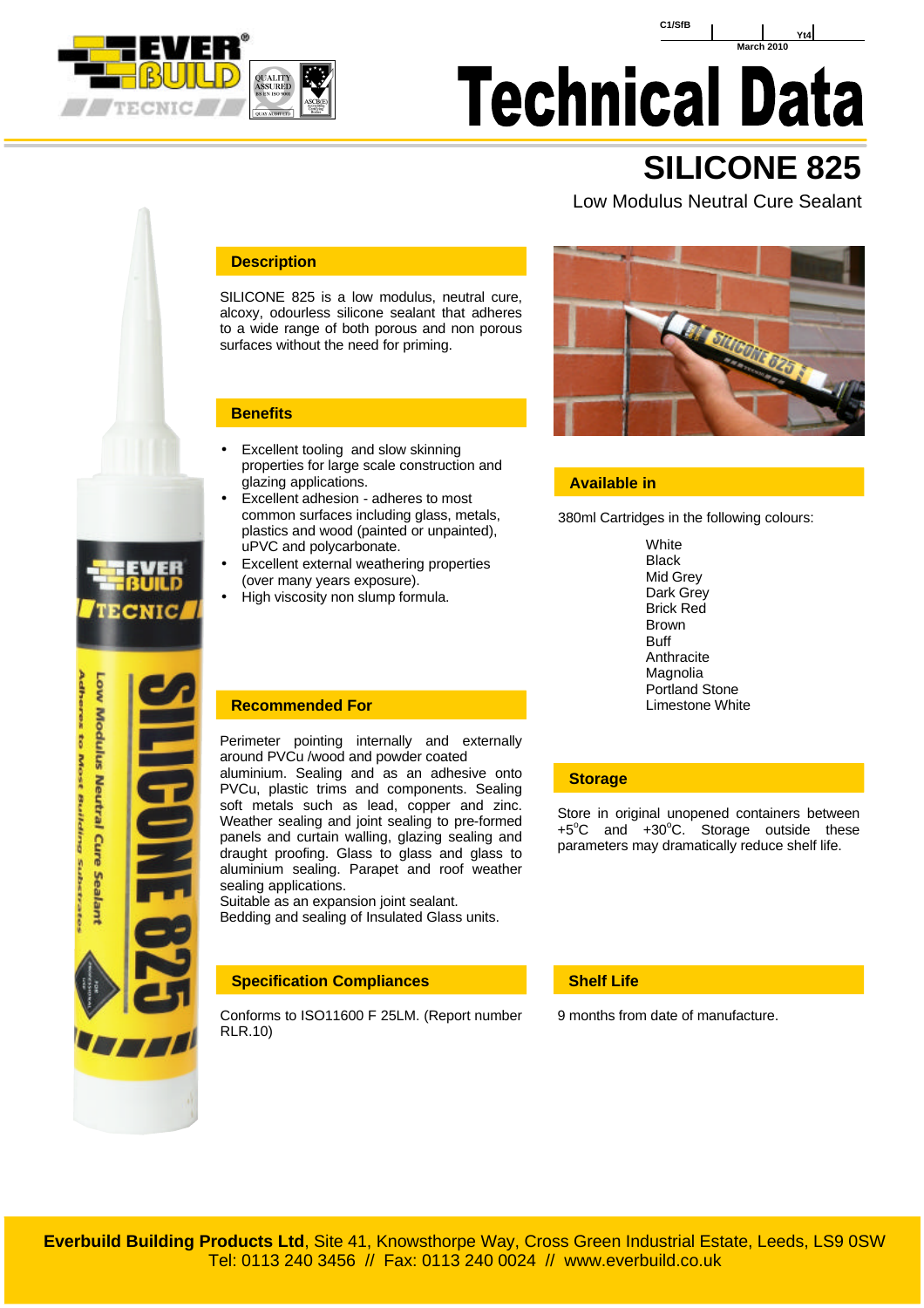

## **March 2010 Technical Data**

**C1/SfB**

### **SILICONE 825**

**Yt4**

### Low Modulus Neutral Cure Sealant

### **Description**

SILICONE 825 is a low modulus, neutral cure, alcoxy, odourless silicone sealant that adheres to a wide range of both porous and non porous surfaces without the need for priming.

### **Benefits**

- Excellent tooling and slow skinning properties for large scale construction and glazing applications.
- Excellent adhesion adheres to most common surfaces including glass, metals, plastics and wood (painted or unpainted), uPVC and polycarbonate.
- Excellent external weathering properties (over many years exposure).
- High viscosity non slump formula.



### **Available in**

380ml Cartridges in the following colours:

**White** Black Mid Grey Dark Grey Brick Red Brown Buff **Anthracite Magnolia** Portland Stone

### **Recommended For Commended For Limestone White**

Perimeter pointing internally and externally around PVCu /wood and powder coated aluminium. Sealing and as an adhesive onto PVCu, plastic trims and components. Sealing soft metals such as lead, copper and zinc. Weather sealing and joint sealing to pre-formed panels and curtain walling, glazing sealing and draught proofing. Glass to glass and glass to aluminium sealing. Parapet and roof weather sealing applications.

Suitable as an expansion joint sealant. Bedding and sealing of Insulated Glass units.

### **Specification Compliances**

Conforms to ISO11600 F 25LM. (Report number RLR.10)

### **Storage**

Store in original unopened containers between  $+5^{\circ}$ C and  $+30^{\circ}$ C. Storage outside these parameters may dramatically reduce shelf life.

### **Shelf Life**

9 months from date of manufacture.